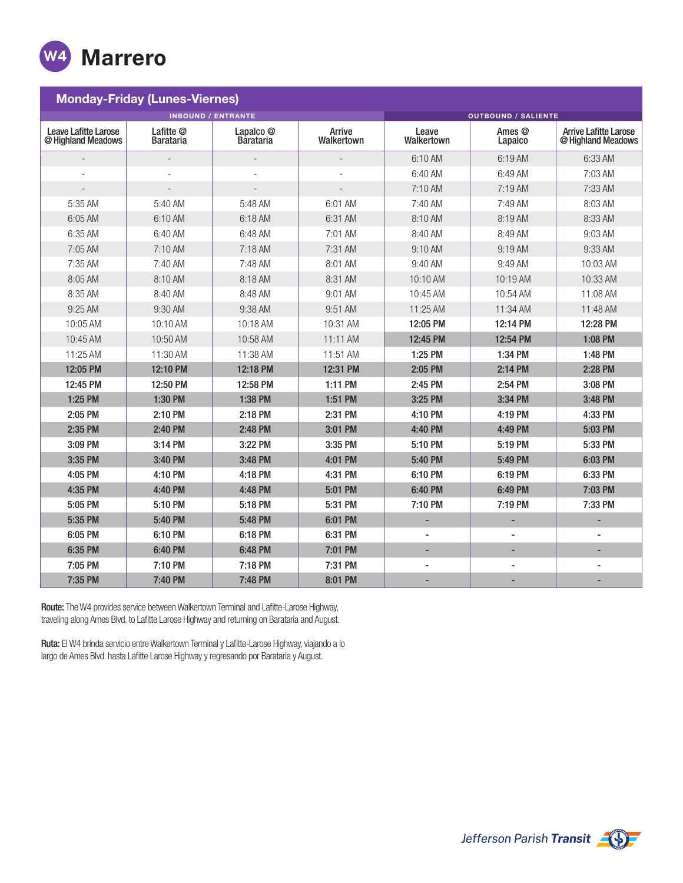

| <b>Monday-Friday (Lunes-Viernes)</b>              |                        |                        |                      |                            |                          |                                                    |  |
|---------------------------------------------------|------------------------|------------------------|----------------------|----------------------------|--------------------------|----------------------------------------------------|--|
| <b>INBOUND / ENTRANTE</b>                         |                        |                        |                      | <b>OUTBOUND / SALIENTE</b> |                          |                                                    |  |
| <b>Leave Lafitte Larose</b><br>@ Highland Meadows | Lafitte @<br>Barataria | Lapalco @<br>Barataria | Arrive<br>Walkertown | Leave<br>Walkertown        | Ames @<br>Lapalco        | <b>Arrive Lafitte Larose</b><br>@ Highland Meadows |  |
|                                                   |                        |                        |                      | 6:10 AM                    | 6:19 AM                  | 6:33 AM                                            |  |
|                                                   |                        |                        |                      | $6:40$ AM                  | 6:49 AM                  | 7:03 AM                                            |  |
|                                                   |                        |                        |                      | 7:10 AM                    | 7:19 AM                  | 7:33 AM                                            |  |
| 5:35 AM                                           | 5:40 AM                | 5:48 AM                | 6:01 AM              | 7:40 AM                    | 7:49 AM                  | 8:03 AM                                            |  |
| 6:05 AM                                           | 6:10 AM                | 6:18 AM                | 6:31 AM              | 8:10 AM                    | 8:19 AM                  | 8:33 AM                                            |  |
| 6:35 AM                                           | 6:40 AM                | 6:48 AM                | 7:01 AM              | 8:40 AM                    | 8:49 AM                  | $9:03$ AM                                          |  |
| 7:05 AM                                           | 7:10 AM                | 7:18 AM                | 7:31 AM              | 9:10 AM                    | 9:19 AM                  | 9:33 AM                                            |  |
| 7:35 AM                                           | 7:40 AM                | 7:48 AM                | 8:01 AM              | 9:40 AM                    | 9:49 AM                  | 10:03 AM                                           |  |
| 8:05 AM                                           | 8:10 AM                | 8:18 AM                | 8:31 AM              | 10:10 AM                   | 10:19 AM                 | 10:33 AM                                           |  |
| 8:35 AM                                           | 8:40 AM                | 8:48 AM                | 9:01 AM              | 10:45 AM                   | 10:54 AM                 | 11:08 AM                                           |  |
| 9:25 AM                                           | 9:30 AM                | 9:38 AM                | 9:51 AM              | 11:25 AM                   | 11:34 AM                 | 11:48 AM                                           |  |
| 10:05 AM                                          | $10:10$ AM             | 10:18 AM               | 10:31 AM             | 12:05 PM                   | 12:14 PM                 | 12:28 PM                                           |  |
| 10:45 AM                                          | 10:50 AM               | 10:58 AM               | 11:11 AM             | 12:45 PM                   | 12:54 PM                 | 1:08 PM                                            |  |
| 11:25 AM                                          | 11:30 AM               | 11:38 AM               | 11:51 AM             | 1:25 PM                    | 1:34 PM                  | 1:48 PM                                            |  |
| 12:05 PM                                          | 12:10 PM               | 12:18 PM               | 12:31 PM             | 2:05 PM                    | 2:14 PM                  | 2:28 PM                                            |  |
| 12:45 PM                                          | 12:50 PM               | 12:58 PM               | 1:11 PM              | 2:45 PM                    | 2:54 PM                  | 3:08 PM                                            |  |
| 1:25 PM                                           | 1:30 PM                | 1:38 PM                | 1:51 PM              | 3:25 PM                    | 3:34 PM                  | 3:48 PM                                            |  |
| 2:05 PM                                           | 2:10 PM                | 2:18 PM                | 2:31 PM              | 4:10 PM                    | 4:19 PM                  | 4:33 PM                                            |  |
| 2:35 PM                                           | 2:40 PM                | 2:48 PM                | 3:01 PM              | 4:40 PM                    | 4:49 PM                  | 5:03 PM                                            |  |
| 3:09 PM                                           | 3:14 PM                | 3:22 PM                | 3:35 PM              | 5:10 PM                    | 5:19 PM                  | 5:33 PM                                            |  |
| 3:35 PM                                           | 3:40 PM                | 3:48 PM                | 4:01 PM              | 5:40 PM                    | 5:49 PM                  | 6:03 PM                                            |  |
| 4:05 PM                                           | 4:10 PM                | 4:18 PM                | 4:31 PM              | 6:10 PM                    | 6:19 PM                  | 6:33 PM                                            |  |
| 4:35 PM                                           | 4:40 PM                | 4:48 PM                | 5:01 PM              | 6:40 PM                    | 6:49 PM                  | 7:03 PM                                            |  |
| 5:05 PM                                           | 5:10 PM                | 5:18 PM                | 5:31 PM              | 7:10 PM                    | 7:19 PM                  | 7:33 PM                                            |  |
| 5:35 PM                                           | 5:40 PM                | 5:48 PM                | 6:01 PM              | -                          | ٠                        | ٠                                                  |  |
| 6:05 PM                                           | 6:10 PM                | 6:18 PM                | 6:31 PM              | $\overline{\phantom{a}}$   | $\overline{a}$           | $\overline{a}$                                     |  |
| 6:35 PM                                           | 6:40 PM                | 6:48 PM                | 7:01 PM              | ٠                          | $\overline{\phantom{a}}$ | ٠                                                  |  |
| 7:05 PM                                           | 7:10 PM                | 7:18 PM                | 7:31 PM              | $\overline{a}$             | $\overline{a}$           |                                                    |  |
| 7:35 PM                                           | 7:40 PM                | 7:48 PM                | 8:01 PM              | ٠                          | $\overline{\phantom{a}}$ | ۰                                                  |  |

Route: The W4 provides service between Walkertown Terminal and Lafitte-Larose Highway, traveling along Ames Blvd. to Lafitte Larose Highway and returning on Barataria and August.

Ruta: El W4 brinda servicio entre Walkertown Terminal y Lafitte-Larose Highway, viajando a lo largo de Ames Blvd. hasta Lafitte Larose Highway y regresando por Barataria y August.

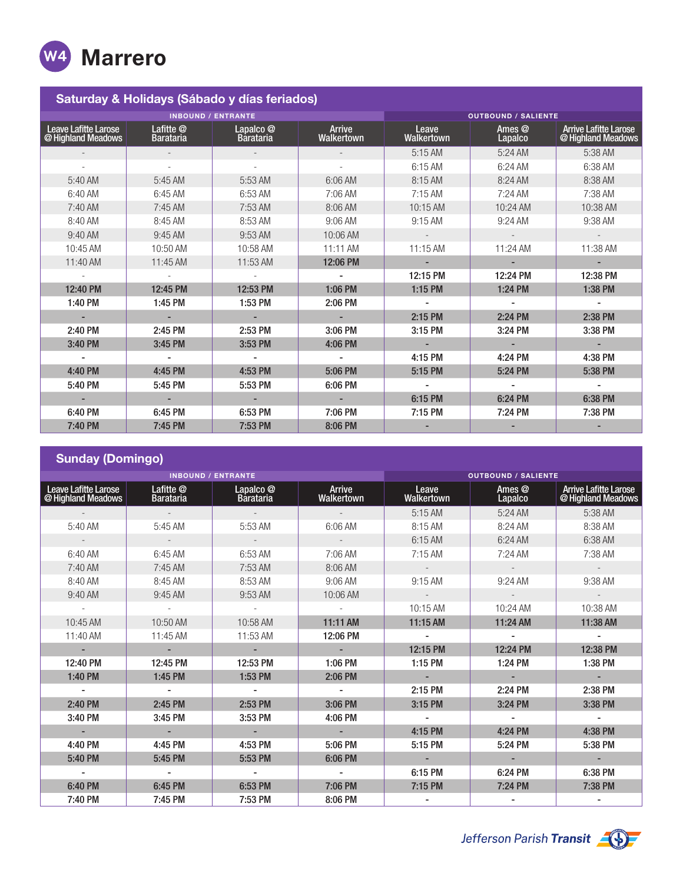

| Saturday & Holidays (Sábado y días feriados) |                                                     |                        |                             |                            |                   |                                                    |  |
|----------------------------------------------|-----------------------------------------------------|------------------------|-----------------------------|----------------------------|-------------------|----------------------------------------------------|--|
| <b>INBOUND / ENTRANTE</b>                    |                                                     |                        |                             | <b>OUTBOUND / SALIENTE</b> |                   |                                                    |  |
| Leave Lafitte Larose<br>@ Highland Meadows   | Lafitte <sup><sup>®</sup></sup><br><b>Barataria</b> | Lapalco @<br>Barataria | Arrive<br><b>Walkertown</b> | Leave<br>Walkertown        | Ames @<br>Lapalco | <b>Arrive Lafitte Larose</b><br>@ Highland Meadows |  |
|                                              | $\sim$                                              |                        |                             | 5:15 AM                    | 5:24 AM           | 5:38 AM                                            |  |
|                                              | $\overline{\phantom{a}}$                            | $\sim$                 | $\overline{\phantom{a}}$    | 6:15 AM                    | 6:24 AM           | 6:38 AM                                            |  |
| 5:40 AM                                      | 5:45 AM                                             | 5:53 AM                | 6:06 AM                     | 8:15 AM                    | 8:24 AM           | 8:38 AM                                            |  |
| 6:40 AM                                      | 6:45 AM                                             | 6:53 AM                | 7:06 AM                     | $7:15$ AM                  | 7:24 AM           | 7:38 AM                                            |  |
| 7:40 AM                                      | 7:45 AM                                             | 7:53 AM                | 8:06 AM                     | 10:15 AM                   | 10:24 AM          | 10:38 AM                                           |  |
| 8:40 AM                                      | 8:45 AM                                             | 8:53 AM                | 9:06 AM                     | 9:15 AM                    | 9:24 AM           | 9:38 AM                                            |  |
| 9:40 AM                                      | 9:45 AM                                             | 9:53 AM                | 10:06 AM                    | $\overline{\phantom{a}}$   | $\sim$            |                                                    |  |
| 10:45 AM                                     | 10:50 AM                                            | 10:58 AM               | 11:11 AM                    | 11:15 AM                   | 11:24 AM          | 11:38 AM                                           |  |
| 11:40 AM                                     | 11:45 AM                                            | 11:53 AM               | 12:06 PM                    | $\overline{\phantom{a}}$   | $\sim$            | ٠                                                  |  |
|                                              |                                                     |                        |                             | 12:15 PM                   | 12:24 PM          | 12:38 PM                                           |  |
| 12:40 PM                                     | 12:45 PM                                            | 12:53 PM               | 1:06 PM                     | 1:15 PM                    | 1:24 PM           | 1:38 PM                                            |  |
| 1:40 PM                                      | 1:45 PM                                             | 1:53 PM                | 2:06 PM                     |                            |                   |                                                    |  |
|                                              |                                                     |                        |                             | 2:15 PM                    | 2:24 PM           | 2:38 PM                                            |  |
| 2:40 PM                                      | 2:45 PM                                             | 2:53 PM                | 3:06 PM                     | 3:15 PM                    | 3:24 PM           | 3:38 PM                                            |  |
| 3:40 PM                                      | 3:45 PM                                             | 3:53 PM                | 4:06 PM                     |                            |                   |                                                    |  |
|                                              |                                                     |                        |                             | 4:15 PM                    | 4:24 PM           | 4:38 PM                                            |  |
| 4:40 PM                                      | 4:45 PM                                             | 4:53 PM                | 5:06 PM                     | 5:15 PM                    | 5:24 PM           | 5:38 PM                                            |  |
| 5:40 PM                                      | 5:45 PM                                             | 5:53 PM                | 6:06 PM                     |                            |                   |                                                    |  |
|                                              |                                                     |                        |                             | 6:15 PM                    | 6:24 PM           | 6:38 PM                                            |  |
| 6:40 PM                                      | 6:45 PM                                             | 6:53 PM                | 7:06 PM                     | 7:15 PM                    | 7:24 PM           | 7:38 PM                                            |  |
| 7:40 PM                                      | 7:45 PM                                             | 7:53 PM                | 8:06 PM                     |                            |                   |                                                    |  |

| <b>Sunday (Domingo)</b>                    |                               |                                          |                             |                          |                          |                                                    |  |
|--------------------------------------------|-------------------------------|------------------------------------------|-----------------------------|--------------------------|--------------------------|----------------------------------------------------|--|
| <b>INBOUND / ENTRANTE</b>                  |                               |                                          | <b>OUTBOUND / SALIENTE</b>  |                          |                          |                                                    |  |
| Leave Lafitte Larose<br>@ Highland Meadows | Lafitte @<br><b>Barataria</b> | Lapalco <sup>o</sup><br><b>Barataria</b> | Arrive<br><b>Walkertown</b> | Leave<br>Walkertown      | Ames @<br><b>Lapalco</b> | <b>Arrive Lafitte Larose</b><br>@ Highland Meadows |  |
|                                            |                               |                                          |                             | 5:15 AM                  | 5:24 AM                  | 5:38 AM                                            |  |
| $5:40$ AM                                  | $5:45$ AM                     | 5:53 AM                                  | 6:06 AM                     | 8:15 AM                  | 8:24 AM                  | 8:38 AM                                            |  |
|                                            | $\sim$                        |                                          |                             | 6:15 AM                  | 6:24 AM                  | 6:38 AM                                            |  |
| 6:40 AM                                    | 6:45 AM                       | 6:53 AM                                  | 7:06 AM                     | 7:15 AM                  | $7:24$ AM                | 7:38 AM                                            |  |
| 7:40 AM                                    | 7:45 AM                       | 7:53 AM                                  | 8:06 AM                     |                          | $\sim$                   | $\overline{\phantom{a}}$                           |  |
| 8:40 AM                                    | 8:45 AM                       | 8:53 AM                                  | 9:06 AM                     | $9:15$ AM                | 9:24 AM                  | 9:38 AM                                            |  |
| 9:40 AM                                    | 9:45 AM                       | 9:53 AM                                  | 10:06 AM                    | $\overline{\phantom{a}}$ | $\sim$                   | $\sim$                                             |  |
|                                            |                               |                                          |                             | 10:15 AM                 | 10:24 AM                 | 10:38 AM                                           |  |
| 10:45 AM                                   | 10:50 AM                      | 10:58 AM                                 | 11:11 AM                    | 11:15 AM                 | 11:24 AM                 | 11:38 AM                                           |  |
| 11:40 AM                                   | 11:45 AM                      | 11:53 AM                                 | 12:06 PM                    |                          |                          |                                                    |  |
| $\blacksquare$                             | ÷.                            |                                          | $\blacksquare$              | 12:15 PM                 | 12:24 PM                 | 12:38 PM                                           |  |
| 12:40 PM                                   | 12:45 PM                      | 12:53 PM                                 | 1:06 PM                     | 1:15 PM                  | 1:24 PM                  | 1:38 PM                                            |  |
| 1:40 PM                                    | 1:45 PM                       | 1:53 PM                                  | 2:06 PM                     | ÷.                       |                          | $\blacksquare$                                     |  |
|                                            |                               |                                          |                             | 2:15 PM                  | 2:24 PM                  | 2:38 PM                                            |  |
| 2:40 PM                                    | 2:45 PM                       | 2:53 PM                                  | 3:06 PM                     | 3:15 PM                  | 3:24 PM                  | 3:38 PM                                            |  |
| 3:40 PM                                    | 3:45 PM                       | 3:53 PM                                  | 4:06 PM                     | $\overline{\phantom{a}}$ | $\overline{\phantom{a}}$ | $\overline{\phantom{a}}$                           |  |
| $\overline{\phantom{a}}$                   | $\overline{\phantom{a}}$      | $\sim$                                   | $\blacksquare$              | 4:15 PM                  | 4:24 PM                  | 4:38 PM                                            |  |
| 4:40 PM                                    | 4:45 PM                       | 4:53 PM                                  | 5:06 PM                     | 5:15 PM                  | 5:24 PM                  | 5:38 PM                                            |  |
| 5:40 PM                                    | 5:45 PM                       | 5:53 PM                                  | 6:06 PM                     |                          |                          |                                                    |  |
|                                            |                               |                                          |                             | 6:15 PM                  | 6:24 PM                  | 6:38 PM                                            |  |
| 6:40 PM                                    | 6:45 PM                       | 6:53 PM                                  | 7:06 PM                     | 7:15 PM                  | 7:24 PM                  | 7:38 PM                                            |  |
| 7:40 PM                                    | 7:45 PM                       | 7:53 PM                                  | 8:06 PM                     |                          |                          |                                                    |  |